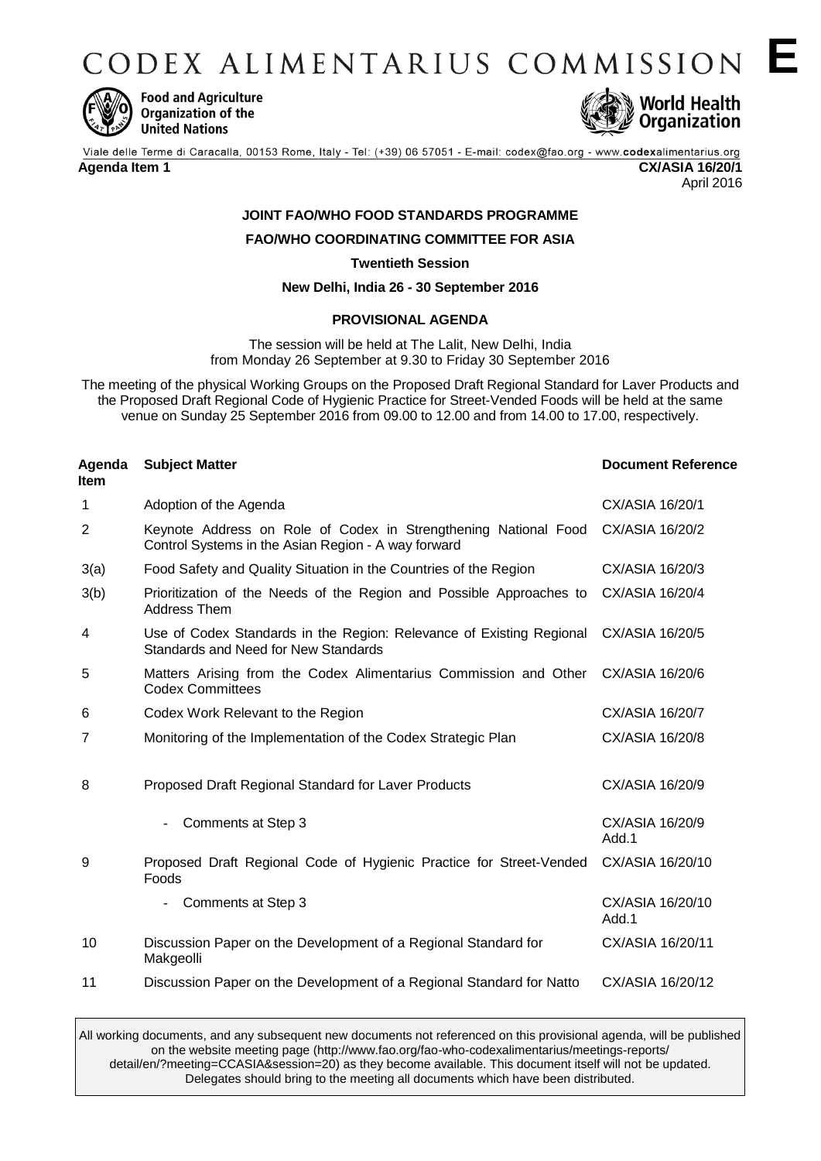CODEX ALIMENTARIUS COMMISSION E



**Food and Agriculture** Organization of the **United Nations** 



April 2016

# **JOINT FAO/WHO FOOD STANDARDS PROGRAMME**

**FAO/WHO COORDINATING COMMITTEE FOR ASIA**

**Twentieth Session**

**New Delhi, India 26 - 30 September 2016**

## **PROVISIONAL AGENDA**

The session will be held at The Lalit, New Delhi, India from Monday 26 September at 9.30 to Friday 30 September 2016

The meeting of the physical Working Groups on the Proposed Draft Regional Standard for Laver Products and the Proposed Draft Regional Code of Hygienic Practice for Street-Vended Foods will be held at the same venue on Sunday 25 September 2016 from 09.00 to 12.00 and from 14.00 to 17.00, respectively.

| Agenda<br>Item | <b>Subject Matter</b>                                                                                                  | <b>Document Reference</b> |
|----------------|------------------------------------------------------------------------------------------------------------------------|---------------------------|
| 1              | Adoption of the Agenda                                                                                                 | CX/ASIA 16/20/1           |
| 2              | Keynote Address on Role of Codex in Strengthening National Food<br>Control Systems in the Asian Region - A way forward | CX/ASIA 16/20/2           |
| 3(a)           | Food Safety and Quality Situation in the Countries of the Region                                                       | CX/ASIA 16/20/3           |
| 3(b)           | Prioritization of the Needs of the Region and Possible Approaches to<br><b>Address Them</b>                            | CX/ASIA 16/20/4           |
| 4              | Use of Codex Standards in the Region: Relevance of Existing Regional<br>Standards and Need for New Standards           | CX/ASIA 16/20/5           |
| 5              | Matters Arising from the Codex Alimentarius Commission and Other<br><b>Codex Committees</b>                            | CX/ASIA 16/20/6           |
| 6              | Codex Work Relevant to the Region                                                                                      | CX/ASIA 16/20/7           |
| 7              | Monitoring of the Implementation of the Codex Strategic Plan                                                           | CX/ASIA 16/20/8           |
| 8              | Proposed Draft Regional Standard for Laver Products                                                                    | CX/ASIA 16/20/9           |
|                | Comments at Step 3                                                                                                     | CX/ASIA 16/20/9<br>Add.1  |
| 9              | Proposed Draft Regional Code of Hygienic Practice for Street-Vended<br>Foods                                           | CX/ASIA 16/20/10          |
|                | Comments at Step 3                                                                                                     | CX/ASIA 16/20/10<br>Add.1 |
| 10             | Discussion Paper on the Development of a Regional Standard for<br>Makgeolli                                            | CX/ASIA 16/20/11          |
| 11             | Discussion Paper on the Development of a Regional Standard for Natto                                                   | CX/ASIA 16/20/12          |

All working documents, and any subsequent new documents not referenced on this provisional agenda, will be published on the website meeting page (http://www.fao.org/fao-who-codexalimentarius/meetings-reports/ detail/en/?meeting=CCASIA&session=20) as they become available. This document itself will not be updated. Delegates should bring to the meeting all documents which have been distributed.